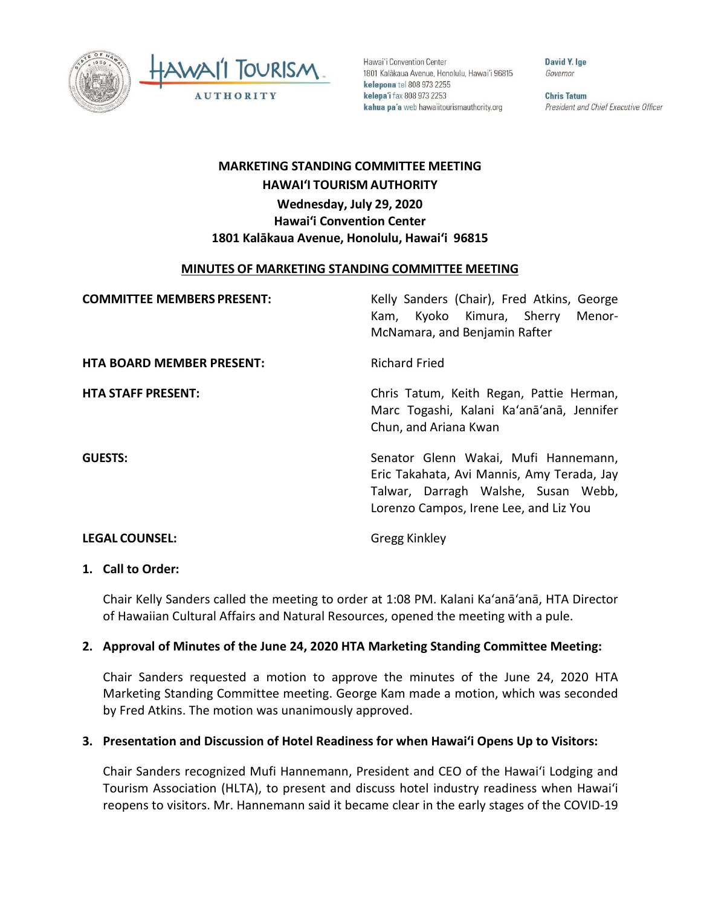



Hawai'i Convention Center 1801 Kalākaua Avenue, Honolulu, Hawai'i 96815 kelepona tel 808 973 2255 kelepa'i fax 808 973 2253 kahua pa'a web hawaiitourismauthority.org

David Y. Ige Governor

**Chris Tatum** President and Chief Executive Officer

# **HAWAI'I TOURISM AUTHORITY MARKETING STANDING COMMITTEE MEETING**

# **Hawai'i Convention Center 1801 Kalākaua Avenue, Honolulu, Hawai'i 96815 Wednesday, July 29, 2020**

## **MINUTES OF MARKETING STANDING COMMITTEE MEETING**

| <b>COMMITTEE MEMBERS PRESENT:</b> | Kelly Sanders (Chair), Fred Atkins, George<br>Kam, Kyoko Kimura, Sherry<br>Menor-<br>McNamara, and Benjamin Rafter                                                  |
|-----------------------------------|---------------------------------------------------------------------------------------------------------------------------------------------------------------------|
| <b>HTA BOARD MEMBER PRESENT:</b>  | <b>Richard Fried</b>                                                                                                                                                |
| <b>HTA STAFF PRESENT:</b>         | Chris Tatum, Keith Regan, Pattie Herman,<br>Marc Togashi, Kalani Ka'anā'anā, Jennifer<br>Chun, and Ariana Kwan                                                      |
| <b>GUESTS:</b>                    | Senator Glenn Wakai, Mufi Hannemann,<br>Eric Takahata, Avi Mannis, Amy Terada, Jay<br>Talwar, Darragh Walshe, Susan Webb,<br>Lorenzo Campos, Irene Lee, and Liz You |
| <b>LEGAL COUNSEL:</b>             | <b>Gregg Kinkley</b>                                                                                                                                                |

#### **1. Call to Order:**

Chair Kelly Sanders called the meeting to order at 1:08 PM. Kalani Ka'anā'anā, HTA Director of Hawaiian Cultural Affairs and Natural Resources, opened the meeting with a pule.

## **2. Approval of Minutes of the June 24, 2020 HTA Marketing Standing Committee Meeting:**

 Marketing Standing Committee meeting. George Kam made a motion, which was seconded Chair Sanders requested a motion to approve the minutes of the June 24, 2020 HTA by Fred Atkins. The motion was unanimously approved.

## **3. Presentation and Discussion of Hotel Readiness for when Hawai'i Opens Up to Visitors:**

 Chair Sanders recognized Mufi Hannemann, President and CEO of the Hawaiʻi Lodging and Tourism Association (HLTA), to present and discuss hotel industry readiness when Hawaiʻi reopens to visitors. Mr. Hannemann said it became clear in the early stages of the COVID-19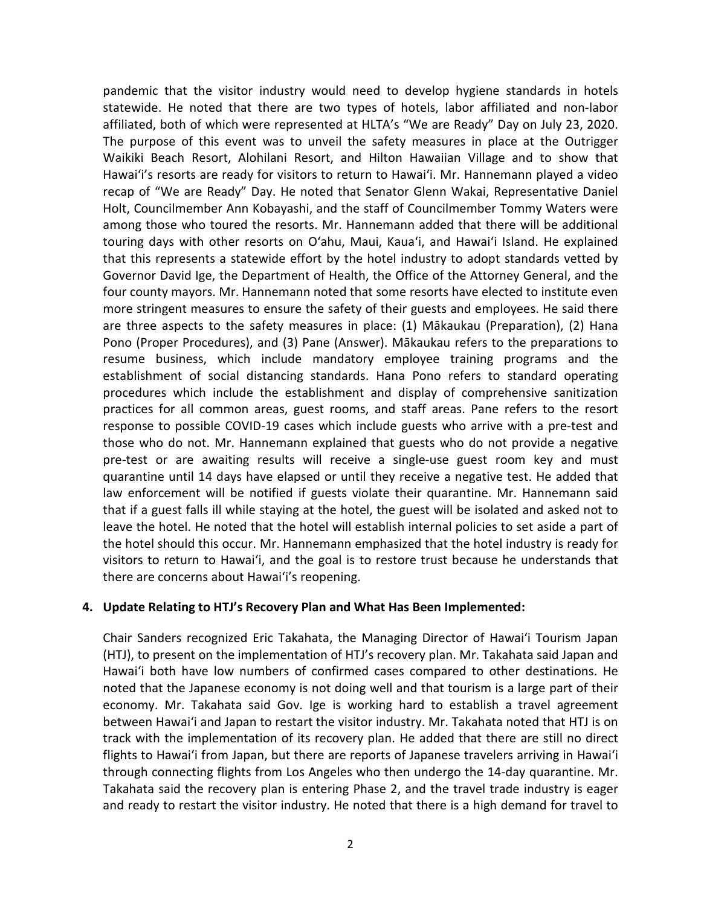statewide. He noted that there are two types of hotels, labor affiliated and non-labor The purpose of this event was to unveil the safety measures in place at the Outrigger Hawaiʻi's resorts are ready for visitors to return to Hawaiʻi. Mr. Hannemann played a video recap of "We are Ready" Day. He noted that Senator Glenn Wakai, Representative Daniel among those who toured the resorts. Mr. Hannemann added that there will be additional touring days with other resorts on Oʻahu, Maui, Kauaʻi, and Hawaiʻi Island. He explained that this represents a statewide effort by the hotel industry to adopt standards vetted by Governor David Ige, the Department of Health, the Office of the Attorney General, and the more stringent measures to ensure the safety of their guests and employees. He said there are three aspects to the safety measures in place: (1) Mākaukau (Preparation), (2) Hana Pono (Proper Procedures), and (3) Pane (Answer). Mākaukau refers to the preparations to resume business, which include mandatory employee training programs and the those who do not. Mr. Hannemann explained that guests who do not provide a negative that if a guest falls ill while staying at the hotel, the guest will be isolated and asked not to leave the hotel. He noted that the hotel will establish internal policies to set aside a part of the hotel should this occur. Mr. Hannemann emphasized that the hotel industry is ready for visitors to return to Hawaiʻi, and the goal is to restore trust because he understands that there are concerns about Hawaiʻi's reopening. pandemic that the visitor industry would need to develop hygiene standards in hotels affiliated, both of which were represented at HLTA's "We are Ready" Day on July 23, 2020. Waikiki Beach Resort, Alohilani Resort, and Hilton Hawaiian Village and to show that Holt, Councilmember Ann Kobayashi, and the staff of Councilmember Tommy Waters were four county mayors. Mr. Hannemann noted that some resorts have elected to institute even establishment of social distancing standards. Hana Pono refers to standard operating procedures which include the establishment and display of comprehensive sanitization practices for all common areas, guest rooms, and staff areas. Pane refers to the resort response to possible COVID-19 cases which include guests who arrive with a pre-test and pre-test or are awaiting results will receive a single-use guest room key and must quarantine until 14 days have elapsed or until they receive a negative test. He added that law enforcement will be notified if guests violate their quarantine. Mr. Hannemann said

## **4. Update Relating to HTJ's Recovery Plan and What Has Been Implemented:**

 (HTJ), to present on the implementation of HTJ's recovery plan. Mr. Takahata said Japan and Hawaiʻi both have low numbers of confirmed cases compared to other destinations. He noted that the Japanese economy is not doing well and that tourism is a large part of their economy. Mr. Takahata said Gov. Ige is working hard to establish a travel agreement between Hawaiʻi and Japan to restart the visitor industry. Mr. Takahata noted that HTJ is on track with the implementation of its recovery plan. He added that there are still no direct flights to Hawaiʻi from Japan, but there are reports of Japanese travelers arriving in Hawaiʻi through connecting flights from Los Angeles who then undergo the 14-day quarantine. Mr. and ready to restart the visitor industry. He noted that there is a high demand for travel to Chair Sanders recognized Eric Takahata, the Managing Director of Hawaiʻi Tourism Japan Takahata said the recovery plan is entering Phase 2, and the travel trade industry is eager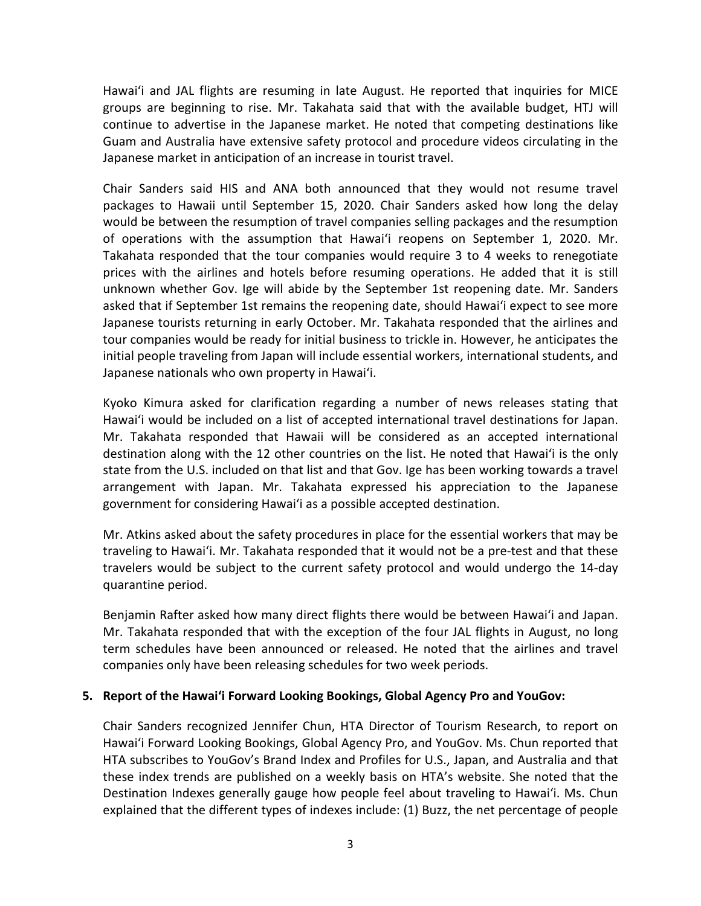Guam and Australia have extensive safety protocol and procedure videos circulating in the Japanese market in anticipation of an increase in tourist travel. Hawaiʻi and JAL flights are resuming in late August. He reported that inquiries for MICE groups are beginning to rise. Mr. Takahata said that with the available budget, HTJ will continue to advertise in the Japanese market. He noted that competing destinations like

 packages to Hawaii until September 15, 2020. Chair Sanders asked how long the delay of operations with the assumption that Hawaiʻi reopens on September 1, 2020. Mr. Takahata responded that the tour companies would require 3 to 4 weeks to renegotiate unknown whether Gov. Ige will abide by the September 1st reopening date. Mr. Sanders asked that if September 1st remains the reopening date, should Hawaiʻi expect to see more Japanese tourists returning in early October. Mr. Takahata responded that the airlines and tour companies would be ready for initial business to trickle in. However, he anticipates the Japanese nationals who own property in Hawaiʻi. Chair Sanders said HIS and ANA both announced that they would not resume travel would be between the resumption of travel companies selling packages and the resumption prices with the airlines and hotels before resuming operations. He added that it is still initial people traveling from Japan will include essential workers, international students, and

 Kyoko Kimura asked for clarification regarding a number of news releases stating that Hawaiʻi would be included on a list of accepted international travel destinations for Japan. Mr. Takahata responded that Hawaii will be considered as an accepted international destination along with the 12 other countries on the list. He noted that Hawaiʻi is the only arrangement with Japan. Mr. Takahata expressed his appreciation to the Japanese government for considering Hawaiʻi as a possible accepted destination. state from the U.S. included on that list and that Gov. Ige has been working towards a travel

 Mr. Atkins asked about the safety procedures in place for the essential workers that may be traveling to Hawaiʻi. Mr. Takahata responded that it would not be a pre-test and that these travelers would be subject to the current safety protocol and would undergo the 14-day quarantine period.

 Benjamin Rafter asked how many direct flights there would be between Hawaiʻi and Japan. Mr. Takahata responded that with the exception of the four JAL flights in August, no long term schedules have been announced or released. He noted that the airlines and travel companies only have been releasing schedules for two week periods.

## **5. Report of the Hawai'i Forward Looking Bookings, Global Agency Pro and YouGov:**

 HTA subscribes to YouGov's Brand Index and Profiles for U.S., Japan, and Australia and that these index trends are published on a weekly basis on HTA's website. She noted that the explained that the different types of indexes include: (1) Buzz, the net percentage of people Chair Sanders recognized Jennifer Chun, HTA Director of Tourism Research, to report on Hawai'i Forward Looking Bookings, Global Agency Pro, and YouGov. Ms. Chun reported that Destination Indexes generally gauge how people feel about traveling to Hawaiʻi. Ms. Chun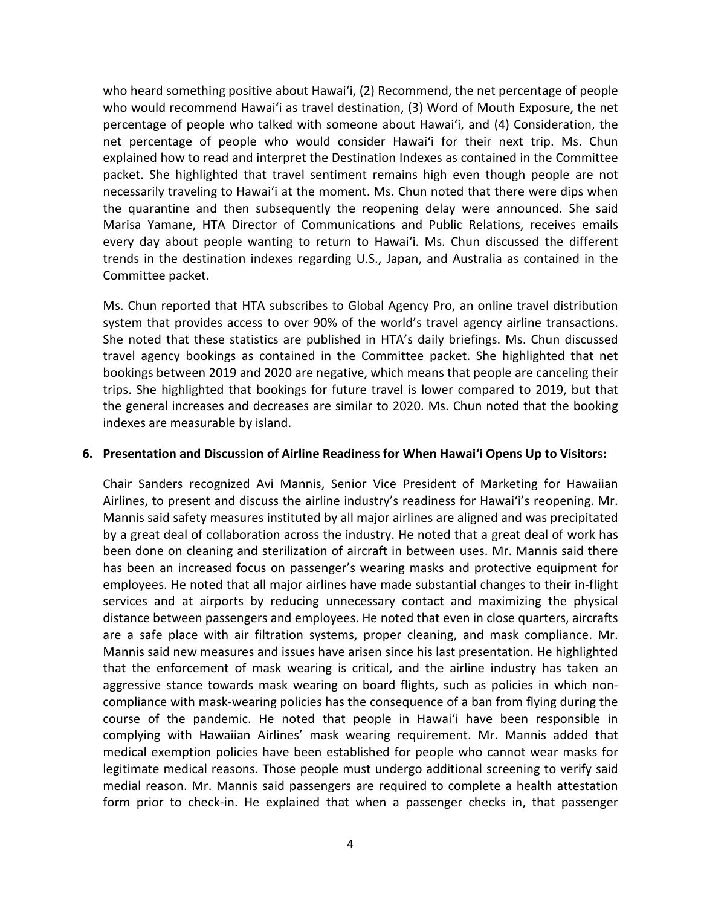who heard something positive about Hawaiʻi, (2) Recommend, the net percentage of people who would recommend Hawaiʻi as travel destination, (3) Word of Mouth Exposure, the net percentage of people who talked with someone about Hawaiʻi, and (4) Consideration, the net percentage of people who would consider Hawaiʻi for their next trip. Ms. Chun explained how to read and interpret the Destination Indexes as contained in the Committee necessarily traveling to Hawaiʻi at the moment. Ms. Chun noted that there were dips when the quarantine and then subsequently the reopening delay were announced. She said trends in the destination indexes regarding U.S., Japan, and Australia as contained in the packet. She highlighted that travel sentiment remains high even though people are not Marisa Yamane, HTA Director of Communications and Public Relations, receives emails every day about people wanting to return to Hawaiʻi. Ms. Chun discussed the different Committee packet.

 She noted that these statistics are published in HTA's daily briefings. Ms. Chun discussed trips. She highlighted that bookings for future travel is lower compared to 2019, but that indexes are measurable by island. Ms. Chun reported that HTA subscribes to Global Agency Pro, an online travel distribution system that provides access to over 90% of the world's travel agency airline transactions. travel agency bookings as contained in the Committee packet. She highlighted that net bookings between 2019 and 2020 are negative, which means that people are canceling their the general increases and decreases are similar to 2020. Ms. Chun noted that the booking

#### **6. Presentation and Discussion of Airline Readiness for When Hawai'i Opens Up to Visitors:**

 Chair Sanders recognized Avi Mannis, Senior Vice President of Marketing for Hawaiian Airlines, to present and discuss the airline industry's readiness for Hawaiʻi's reopening. Mr. Mannis said safety measures instituted by all major airlines are aligned and was precipitated been done on cleaning and sterilization of aircraft in between uses. Mr. Mannis said there services and at airports by reducing unnecessary contact and maximizing the physical distance between passengers and employees. He noted that even in close quarters, aircrafts are a safe place with air filtration systems, proper cleaning, and mask compliance. Mr. that the enforcement of mask wearing is critical, and the airline industry has taken an compliance with mask-wearing policies has the consequence of a ban from flying during the course of the pandemic. He noted that people in Hawaiʻi have been responsible in medical exemption policies have been established for people who cannot wear masks for medial reason. Mr. Mannis said passengers are required to complete a health attestation form prior to check-in. He explained that when a passenger checks in, that passenger by a great deal of collaboration across the industry. He noted that a great deal of work has has been an increased focus on passenger's wearing masks and protective equipment for employees. He noted that all major airlines have made substantial changes to their in-flight Mannis said new measures and issues have arisen since his last presentation. He highlighted aggressive stance towards mask wearing on board flights, such as policies in which noncomplying with Hawaiian Airlines' mask wearing requirement. Mr. Mannis added that legitimate medical reasons. Those people must undergo additional screening to verify said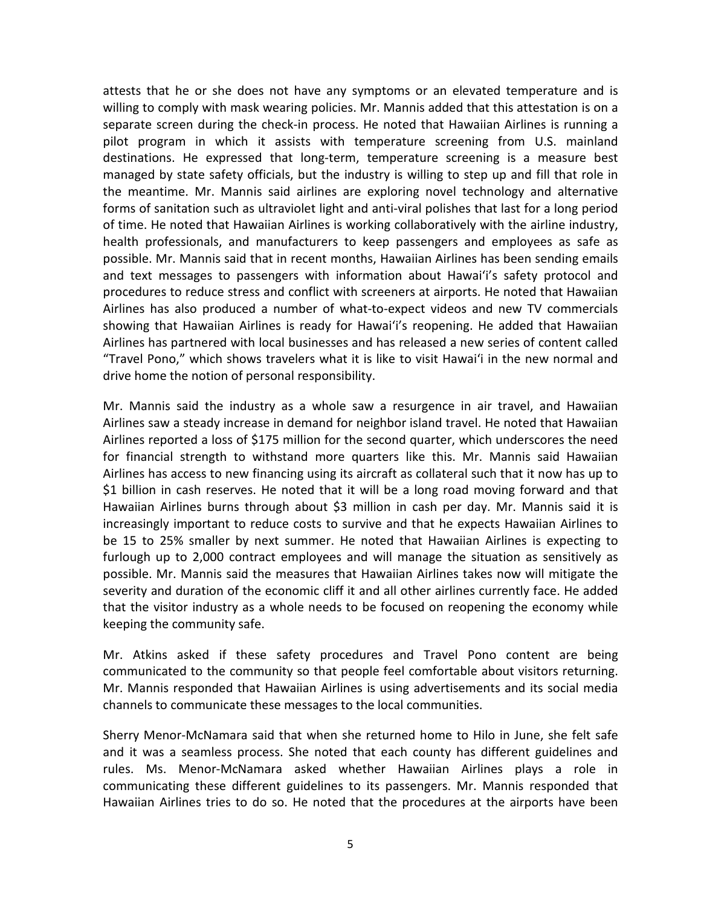separate screen during the check-in process. He noted that Hawaiian Airlines is running a destinations. He expressed that long-term, temperature screening is a measure best the meantime. Mr. Mannis said airlines are exploring novel technology and alternative forms of sanitation such as ultraviolet light and anti-viral polishes that last for a long period of time. He noted that Hawaiian Airlines is working collaboratively with the airline industry, and text messages to passengers with information about Hawaiʻi's safety protocol and showing that Hawaiian Airlines is ready for Hawaiʻi's reopening. He added that Hawaiian Airlines has partnered with local businesses and has released a new series of content called attests that he or she does not have any symptoms or an elevated temperature and is willing to comply with mask wearing policies. Mr. Mannis added that this attestation is on a pilot program in which it assists with temperature screening from U.S. mainland managed by state safety officials, but the industry is willing to step up and fill that role in health professionals, and manufacturers to keep passengers and employees as safe as possible. Mr. Mannis said that in recent months, Hawaiian Airlines has been sending emails procedures to reduce stress and conflict with screeners at airports. He noted that Hawaiian Airlines has also produced a number of what-to-expect videos and new TV commercials "Travel Pono," which shows travelers what it is like to visit Hawaiʻi in the new normal and drive home the notion of personal responsibility.

 Airlines saw a steady increase in demand for neighbor island travel. He noted that Hawaiian for financial strength to withstand more quarters like this. Mr. Mannis said Hawaiian Hawaiian Airlines burns through about \$3 million in cash per day. Mr. Mannis said it is increasingly important to reduce costs to survive and that he expects Hawaiian Airlines to be 15 to 25% smaller by next summer. He noted that Hawaiian Airlines is expecting to severity and duration of the economic cliff it and all other airlines currently face. He added that the visitor industry as a whole needs to be focused on reopening the economy while Mr. Mannis said the industry as a whole saw a resurgence in air travel, and Hawaiian Airlines reported a loss of \$175 million for the second quarter, which underscores the need Airlines has access to new financing using its aircraft as collateral such that it now has up to \$1 billion in cash reserves. He noted that it will be a long road moving forward and that furlough up to 2,000 contract employees and will manage the situation as sensitively as possible. Mr. Mannis said the measures that Hawaiian Airlines takes now will mitigate the keeping the community safe.

 communicated to the community so that people feel comfortable about visitors returning. channels to communicate these messages to the local communities. Mr. Atkins asked if these safety procedures and Travel Pono content are being Mr. Mannis responded that Hawaiian Airlines is using advertisements and its social media

 rules. Ms. Menor-McNamara asked whether Hawaiian Airlines plays a role in Hawaiian Airlines tries to do so. He noted that the procedures at the airports have been Sherry Menor-McNamara said that when she returned home to Hilo in June, she felt safe and it was a seamless process. She noted that each county has different guidelines and communicating these different guidelines to its passengers. Mr. Mannis responded that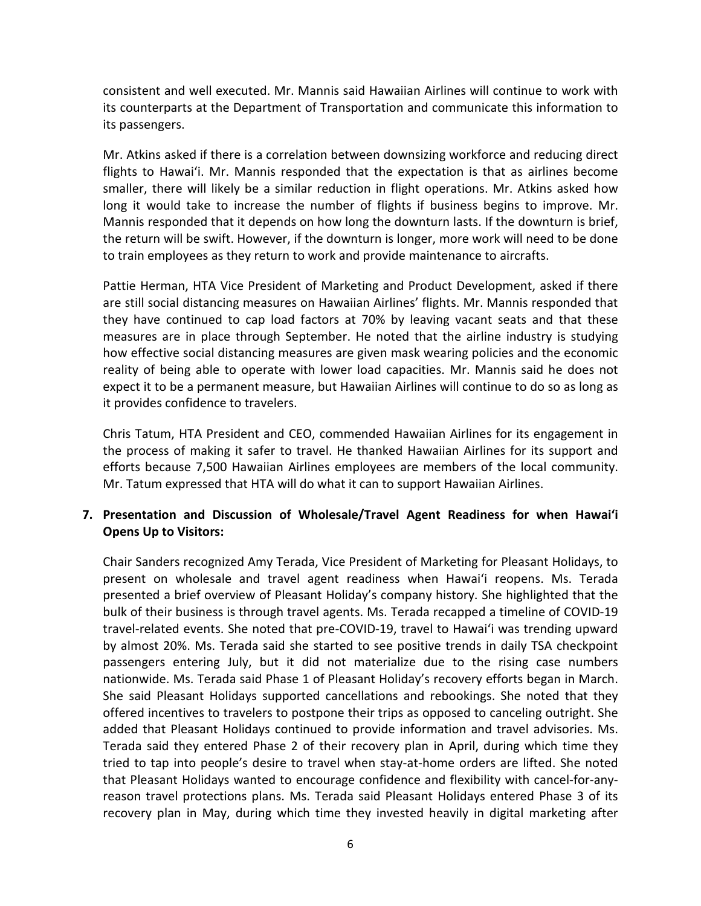consistent and well executed. Mr. Mannis said Hawaiian Airlines will continue to work with its counterparts at the Department of Transportation and communicate this information to its passengers.

 flights to Hawaiʻi. Mr. Mannis responded that the expectation is that as airlines become smaller, there will likely be a similar reduction in flight operations. Mr. Atkins asked how Mannis responded that it depends on how long the downturn lasts. If the downturn is brief, the return will be swift. However, if the downturn is longer, more work will need to be done Mr. Atkins asked if there is a correlation between downsizing workforce and reducing direct long it would take to increase the number of flights if business begins to improve. Mr. to train employees as they return to work and provide maintenance to aircrafts.

 are still social distancing measures on Hawaiian Airlines' flights. Mr. Mannis responded that reality of being able to operate with lower load capacities. Mr. Mannis said he does not expect it to be a permanent measure, but Hawaiian Airlines will continue to do so as long as Pattie Herman, HTA Vice President of Marketing and Product Development, asked if there they have continued to cap load factors at 70% by leaving vacant seats and that these measures are in place through September. He noted that the airline industry is studying how effective social distancing measures are given mask wearing policies and the economic it provides confidence to travelers.

 Chris Tatum, HTA President and CEO, commended Hawaiian Airlines for its engagement in the process of making it safer to travel. He thanked Hawaiian Airlines for its support and Mr. Tatum expressed that HTA will do what it can to support Hawaiian Airlines. efforts because 7,500 Hawaiian Airlines employees are members of the local community.

# **7. Presentation and Discussion of Wholesale/Travel Agent Readiness for when Hawai'i Opens Up to Visitors:**

 present on wholesale and travel agent readiness when Hawaiʻi reopens. Ms. Terada presented a brief overview of Pleasant Holiday's company history. She highlighted that the travel-related events. She noted that pre-COVID-19, travel to Hawaiʻi was trending upward passengers entering July, but it did not materialize due to the rising case numbers nationwide. Ms. Terada said Phase 1 of Pleasant Holiday's recovery efforts began in March. Terada said they entered Phase 2 of their recovery plan in April, during which time they that Pleasant Holidays wanted to encourage confidence and flexibility with cancel-for-any- reason travel protections plans. Ms. Terada said Pleasant Holidays entered Phase 3 of its recovery plan in May, during which time they invested heavily in digital marketing after Chair Sanders recognized Amy Terada, Vice President of Marketing for Pleasant Holidays, to bulk of their business is through travel agents. Ms. Terada recapped a timeline of COVID-19 by almost 20%. Ms. Terada said she started to see positive trends in daily TSA checkpoint She said Pleasant Holidays supported cancellations and rebookings. She noted that they offered incentives to travelers to postpone their trips as opposed to canceling outright. She added that Pleasant Holidays continued to provide information and travel advisories. Ms. tried to tap into people's desire to travel when stay-at-home orders are lifted. She noted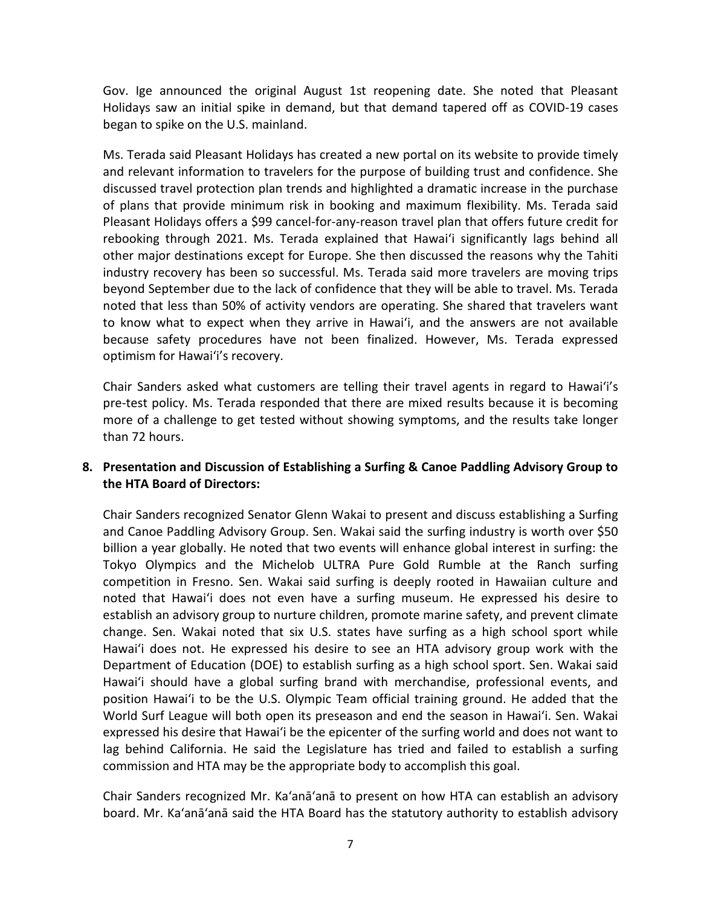Gov. Ige announced the original August 1st reopening date. She noted that Pleasant Holidays saw an initial spike in demand, but that demand tapered off as COVID-19 cases began to spike on the U.S. mainland.

 of plans that provide minimum risk in booking and maximum flexibility. Ms. Terada said rebooking through 2021. Ms. Terada explained that Hawaiʻi significantly lags behind all other major destinations except for Europe. She then discussed the reasons why the Tahiti beyond September due to the lack of confidence that they will be able to travel. Ms. Terada to know what to expect when they arrive in Hawaiʻi, and the answers are not available because safety procedures have not been finalized. However, Ms. Terada expressed Ms. Terada said Pleasant Holidays has created a new portal on its website to provide timely and relevant information to travelers for the purpose of building trust and confidence. She discussed travel protection plan trends and highlighted a dramatic increase in the purchase Pleasant Holidays offers a \$99 cancel-for-any-reason travel plan that offers future credit for industry recovery has been so successful. Ms. Terada said more travelers are moving trips noted that less than 50% of activity vendors are operating. She shared that travelers want optimism for Hawaiʻi's recovery.

 Chair Sanders asked what customers are telling their travel agents in regard to Hawaiʻi's pre-test policy. Ms. Terada responded that there are mixed results because it is becoming more of a challenge to get tested without showing symptoms, and the results take longer than 72 hours.

## **8. Presentation and Discussion of Establishing a Surfing & Canoe Paddling Advisory Group to the HTA Board of Directors:**

 noted that Hawaiʻi does not even have a surfing museum. He expressed his desire to change. Sen. Wakai noted that six U.S. states have surfing as a high school sport while Hawaiʻi does not. He expressed his desire to see an HTA advisory group work with the Hawaiʻi should have a global surfing brand with merchandise, professional events, and position Hawaiʻi to be the U.S. Olympic Team official training ground. He added that the expressed his desire that Hawaiʻi be the epicenter of the surfing world and does not want to Chair Sanders recognized Senator Glenn Wakai to present and discuss establishing a Surfing and Canoe Paddling Advisory Group. Sen. Wakai said the surfing industry is worth over \$50 billion a year globally. He noted that two events will enhance global interest in surfing: the Tokyo Olympics and the Michelob ULTRA Pure Gold Rumble at the Ranch surfing competition in Fresno. Sen. Wakai said surfing is deeply rooted in Hawaiian culture and establish an advisory group to nurture children, promote marine safety, and prevent climate Department of Education (DOE) to establish surfing as a high school sport. Sen. Wakai said World Surf League will both open its preseason and end the season in Hawaiʻi. Sen. Wakai lag behind California. He said the Legislature has tried and failed to establish a surfing commission and HTA may be the appropriate body to accomplish this goal.

 Chair Sanders recognized Mr. Ka'anā'anā to present on how HTA can establish an advisory board. Mr. Ka'anā'anā said the HTA Board has the statutory authority to establish advisory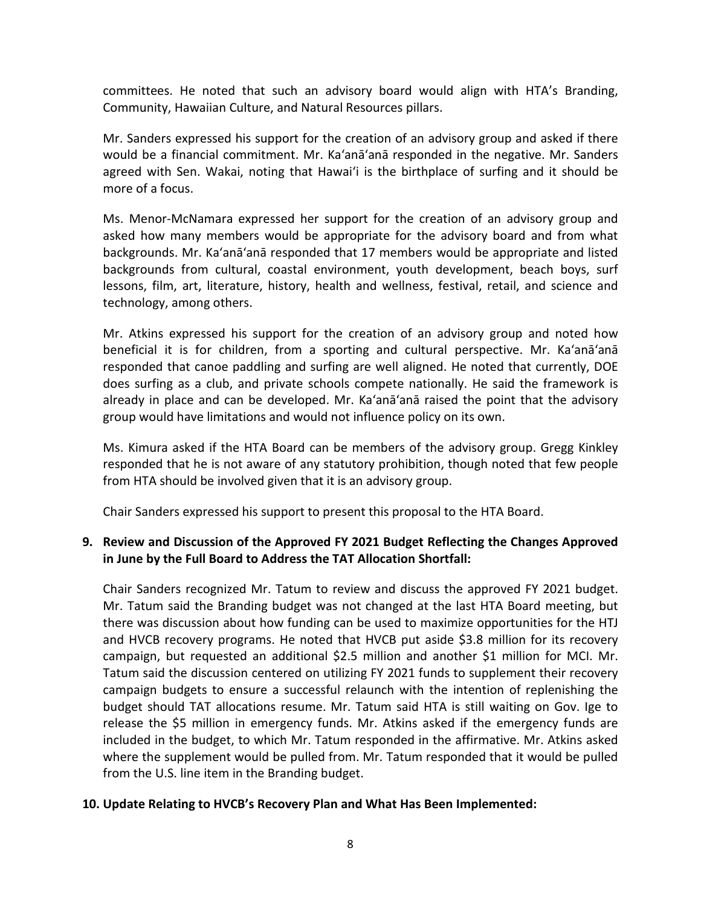committees. He noted that such an advisory board would align with HTA's Branding, Community, Hawaiian Culture, and Natural Resources pillars.

 Mr. Sanders expressed his support for the creation of an advisory group and asked if there would be a financial commitment. Mr. Ka'anā'anā responded in the negative. Mr. Sanders agreed with Sen. Wakai, noting that Hawaiʻi is the birthplace of surfing and it should be more of a focus.

 Ms. Menor-McNamara expressed her support for the creation of an advisory group and asked how many members would be appropriate for the advisory board and from what backgrounds. Mr. Ka'anā'anā responded that 17 members would be appropriate and listed backgrounds from cultural, coastal environment, youth development, beach boys, surf lessons, film, art, literature, history, health and wellness, festival, retail, and science and technology, among others.

 Mr. Atkins expressed his support for the creation of an advisory group and noted how does surfing as a club, and private schools compete nationally. He said the framework is already in place and can be developed. Mr. Ka'anā'anā raised the point that the advisory beneficial it is for children, from a sporting and cultural perspective. Mr. Ka'anā'anā responded that canoe paddling and surfing are well aligned. He noted that currently, DOE group would have limitations and would not influence policy on its own.

 Ms. Kimura asked if the HTA Board can be members of the advisory group. Gregg Kinkley responded that he is not aware of any statutory prohibition, though noted that few people from HTA should be involved given that it is an advisory group.

Chair Sanders expressed his support to present this proposal to the HTA Board.

# **9. Review and Discussion of the Approved FY 2021 Budget Reflecting the Changes Approved in June by the Full Board to Address the TAT Allocation Shortfall:**

 there was discussion about how funding can be used to maximize opportunities for the HTJ campaign budgets to ensure a successful relaunch with the intention of replenishing the where the supplement would be pulled from. Mr. Tatum responded that it would be pulled Chair Sanders recognized Mr. Tatum to review and discuss the approved FY 2021 budget. Mr. Tatum said the Branding budget was not changed at the last HTA Board meeting, but and HVCB recovery programs. He noted that HVCB put aside \$3.8 million for its recovery campaign, but requested an additional \$2.5 million and another \$1 million for MCI. Mr. Tatum said the discussion centered on utilizing FY 2021 funds to supplement their recovery budget should TAT allocations resume. Mr. Tatum said HTA is still waiting on Gov. Ige to release the \$5 million in emergency funds. Mr. Atkins asked if the emergency funds are included in the budget, to which Mr. Tatum responded in the affirmative. Mr. Atkins asked from the U.S. line item in the Branding budget.

# **10. Update Relating to HVCB's Recovery Plan and What Has Been Implemented:**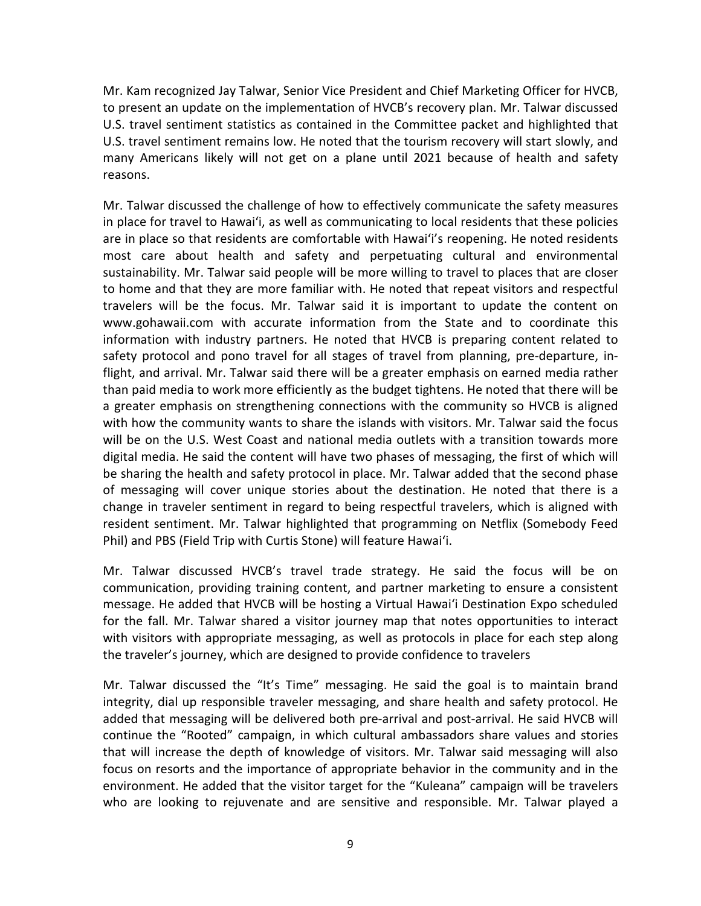Mr. Kam recognized Jay Talwar, Senior Vice President and Chief Marketing Officer for HVCB, to present an update on the implementation of HVCB's recovery plan. Mr. Talwar discussed U.S. travel sentiment statistics as contained in the Committee packet and highlighted that U.S. travel sentiment remains low. He noted that the tourism recovery will start slowly, and many Americans likely will not get on a plane until 2021 because of health and safety reasons.

 in place for travel to Hawaiʻi, as well as communicating to local residents that these policies are in place so that residents are comfortable with Hawaiʻi's reopening. He noted residents <www.gohawaii.com>with accurate information from the State and to coordinate this flight, and arrival. Mr. Talwar said there will be a greater emphasis on earned media rather with how the community wants to share the islands with visitors. Mr. Talwar said the focus digital media. He said the content will have two phases of messaging, the first of which will of messaging will cover unique stories about the destination. He noted that there is a resident sentiment. Mr. Talwar highlighted that programming on Netflix (Somebody Feed Phil) and PBS (Field Trip with Curtis Stone) will feature Hawaiʻi. Mr. Talwar discussed the challenge of how to effectively communicate the safety measures most care about health and safety and perpetuating cultural and environmental sustainability. Mr. Talwar said people will be more willing to travel to places that are closer to home and that they are more familiar with. He noted that repeat visitors and respectful travelers will be the focus. Mr. Talwar said it is important to update the content on information with industry partners. He noted that HVCB is preparing content related to safety protocol and pono travel for all stages of travel from planning, pre-departure, inthan paid media to work more efficiently as the budget tightens. He noted that there will be a greater emphasis on strengthening connections with the community so HVCB is aligned will be on the U.S. West Coast and national media outlets with a transition towards more be sharing the health and safety protocol in place. Mr. Talwar added that the second phase change in traveler sentiment in regard to being respectful travelers, which is aligned with

 communication, providing training content, and partner marketing to ensure a consistent message. He added that HVCB will be hosting a Virtual Hawaiʻi Destination Expo scheduled Mr. Talwar discussed HVCB's travel trade strategy. He said the focus will be on for the fall. Mr. Talwar shared a visitor journey map that notes opportunities to interact with visitors with appropriate messaging, as well as protocols in place for each step along the traveler's journey, which are designed to provide confidence to travelers

 focus on resorts and the importance of appropriate behavior in the community and in the Mr. Talwar discussed the "It's Time" messaging. He said the goal is to maintain brand integrity, dial up responsible traveler messaging, and share health and safety protocol. He added that messaging will be delivered both pre-arrival and post-arrival. He said HVCB will continue the "Rooted" campaign, in which cultural ambassadors share values and stories that will increase the depth of knowledge of visitors. Mr. Talwar said messaging will also environment. He added that the visitor target for the "Kuleana" campaign will be travelers who are looking to rejuvenate and are sensitive and responsible. Mr. Talwar played a